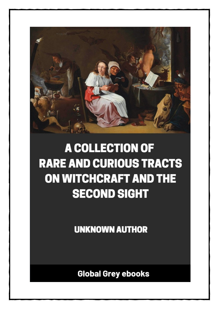

## **A COLLECTION OF RARE AND CURIOUS TRACTS ON WITCHCRAFT AND THE SECOND SIGHT**

**UNKNOWN AUTHOR** 

**Global Grey ebooks**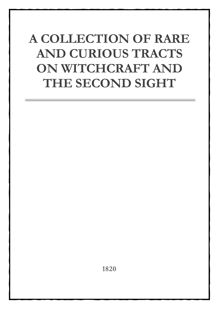## **A COLLECTION OF RARE AND CURIOUS TRACTS ON WITCHCRAFT AND THE SECOND SIGHT**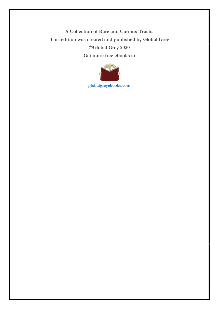**A Collection of Rare and Curious Tracts. This edition was created and published by Global Grey ©Global Grey 2020 Get more free ebooks at**



**[globalgreyebooks.com](https://www.globalgreyebooks.com/index.html)**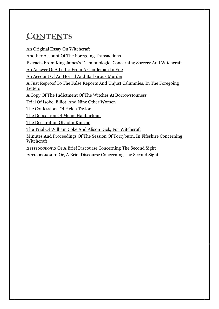## **CONTENTS**

[An Original Essay On Witchcraft](#page-4-0)

[Another Account Of The Foregoing Transactions](#page-16-0)

[Extracts From King James's Daemonologie, Concerning Sorcery And Witchcraft](#page-18-0)

[An Answer Of A Letter From A Gentleman In Fife](#page-29-0)

[An Account Of An Horrid And Barbarous Murder](#page-32-0)

[A Just Reproof To The False Reports And Unjust Calumnies, In The Foregoing](#page-35-0)  [Letters](#page-35-0)

[A Copy Of The Indictment Of The Witches At Borrowstouness](#page-42-0)

[Trial Of Isobel Elliot, And Nine Other Women](#page-46-0)

[The Confessions Of Helen Taylor](#page-47-0)

[The Deposition Of Menie Haliburtoun](#page-48-0)

[The Declaration Of John Kincaid](#page-49-0)

[The Trial Of William Coke And Alison Dick, For Witchcraft](#page-50-0)

[Minutes And Proceedings Of The Session Of Torryburn, In Fifeshire Concerning](#page-56-0)  **[Witchcraft](#page-56-0)** 

[Δεττεροσκοπια Or A Brief Discourse Concerni](#page-64-0)ng The Second Sight

[Δεττεροσκοπια; Or, A Brief Discourse Concerning The Second Sight](#page-69-0)